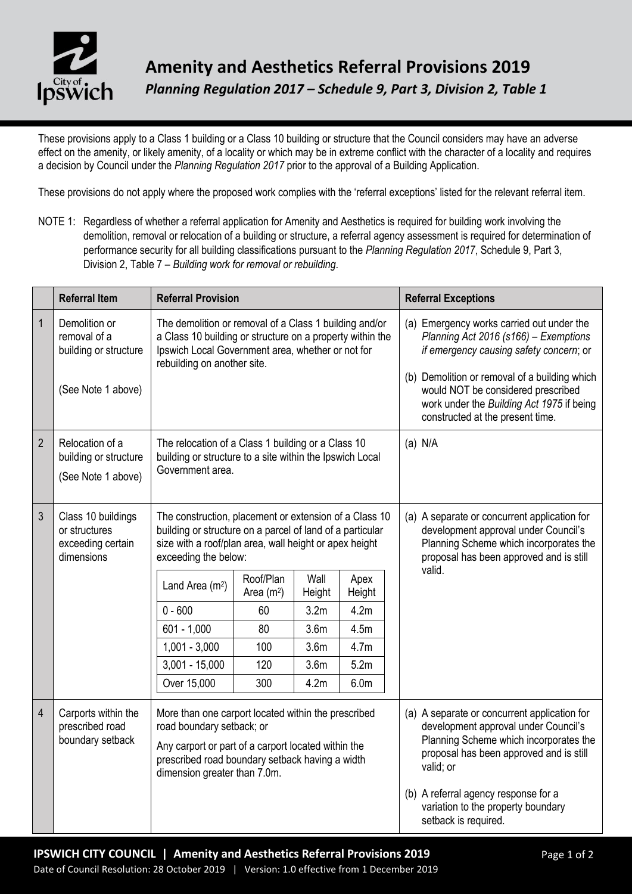

These provisions apply to a Class 1 building or a Class 10 building or structure that the Council considers may have an adverse effect on the amenity, or likely amenity, of a locality or which may be in extreme conflict with the character of a locality and requires a decision by Council under the *Planning Regulation 2017* prior to the approval of a Building Application.

These provisions do not apply where the proposed work complies with the 'referral exceptions' listed for the relevant referral item.

NOTE 1: Regardless of whether a referral application for Amenity and Aesthetics is required for building work involving the demolition, removal or relocation of a building or structure, a referral agency assessment is required for determination of performance security for all building classifications pursuant to the *Planning Regulation 2017*, Schedule 9, Part 3, Division 2, Table 7 – *Building work for removal or rebuilding*.

|                | <b>Referral Item</b>                                                         | <b>Referral Provision</b>                                                                                                                                                                                                  |                          |                  |                  |  | <b>Referral Exceptions</b>                                                                                                                                                                                                                                                                            |
|----------------|------------------------------------------------------------------------------|----------------------------------------------------------------------------------------------------------------------------------------------------------------------------------------------------------------------------|--------------------------|------------------|------------------|--|-------------------------------------------------------------------------------------------------------------------------------------------------------------------------------------------------------------------------------------------------------------------------------------------------------|
| $\mathbf{1}$   | Demolition or<br>removal of a<br>building or structure<br>(See Note 1 above) | The demolition or removal of a Class 1 building and/or<br>a Class 10 building or structure on a property within the<br>Ipswich Local Government area, whether or not for<br>rebuilding on another site.                    |                          |                  |                  |  | (a) Emergency works carried out under the<br>Planning Act 2016 (s166) - Exemptions<br>if emergency causing safety concern; or<br>(b) Demolition or removal of a building which<br>would NOT be considered prescribed<br>work under the Building Act 1975 if being<br>constructed at the present time. |
| $\overline{2}$ | Relocation of a<br>building or structure<br>(See Note 1 above)               | The relocation of a Class 1 building or a Class 10<br>building or structure to a site within the Ipswich Local<br>Government area.                                                                                         |                          |                  |                  |  | $(a)$ N/A                                                                                                                                                                                                                                                                                             |
| 3              | Class 10 buildings<br>or structures<br>exceeding certain<br>dimensions       | The construction, placement or extension of a Class 10<br>building or structure on a parcel of land of a particular<br>size with a roof/plan area, wall height or apex height<br>exceeding the below:                      |                          |                  |                  |  | (a) A separate or concurrent application for<br>development approval under Council's<br>Planning Scheme which incorporates the<br>proposal has been approved and is still<br>valid.                                                                                                                   |
|                |                                                                              | Land Area (m <sup>2</sup> )                                                                                                                                                                                                | Roof/Plan<br>Area $(m2)$ | Wall<br>Height   | Apex<br>Height   |  |                                                                                                                                                                                                                                                                                                       |
|                |                                                                              | $0 - 600$                                                                                                                                                                                                                  | 60                       | 3.2 <sub>m</sub> | 4.2m             |  |                                                                                                                                                                                                                                                                                                       |
|                |                                                                              | $601 - 1,000$                                                                                                                                                                                                              | 80                       | 3.6 <sub>m</sub> | 4.5m             |  |                                                                                                                                                                                                                                                                                                       |
|                |                                                                              | $1,001 - 3,000$                                                                                                                                                                                                            | 100                      | 3.6 <sub>m</sub> | 4.7 <sub>m</sub> |  |                                                                                                                                                                                                                                                                                                       |
|                |                                                                              | $3,001 - 15,000$                                                                                                                                                                                                           | 120                      | 3.6 <sub>m</sub> | 5.2m             |  |                                                                                                                                                                                                                                                                                                       |
|                |                                                                              | Over 15,000                                                                                                                                                                                                                | 300                      | 4.2m             | 6.0m             |  |                                                                                                                                                                                                                                                                                                       |
| $\overline{4}$ | Carports within the<br>prescribed road<br>boundary setback                   | More than one carport located within the prescribed<br>road boundary setback; or<br>Any carport or part of a carport located within the<br>prescribed road boundary setback having a width<br>dimension greater than 7.0m. |                          |                  |                  |  | (a) A separate or concurrent application for<br>development approval under Council's<br>Planning Scheme which incorporates the<br>proposal has been approved and is still<br>valid; or<br>(b) A referral agency response for a<br>variation to the property boundary<br>setback is required.          |